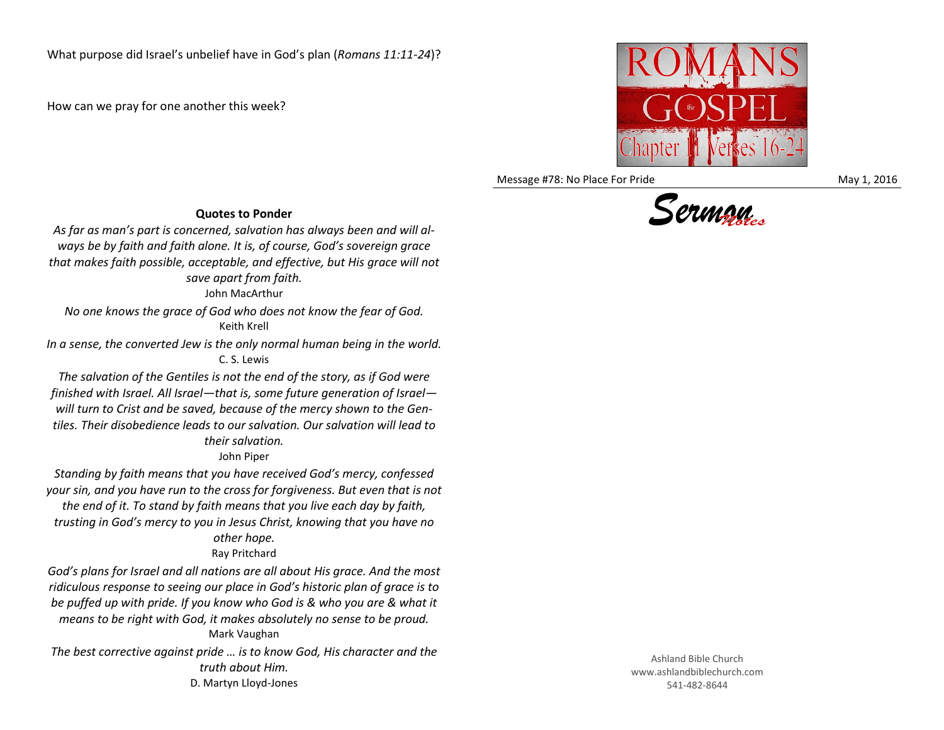How can we pray for one another this week?



Message #78: No Place For Pride May 1, 2016



*As far as man's part is concerned, salvation has always been and will always be by faith and faith alone. It is, of course, God's sovereign grace that makes faith possible, acceptable, and effective, but His grace will not save apart from faith.*

John MacArthur

*No one knows the grace of God who does not know the fear of God.* Keith Krell

*In a sense, the converted Jew is the only normal human being in the world.* C. S. Lewis

*The salvation of the Gentiles is not the end of the story, as if God were finished with Israel. All Israel—that is, some future generation of Israel will turn to Crist and be saved, because of the mercy shown to the Gentiles. Their disobedience leads to our salvation. Our salvation will lead to their salvation.*

John Piper

*Standing by faith means that you have received God's mercy, confessed your sin, and you have run to the cross for forgiveness. But even that is not the end of it. To stand by faith means that you live each day by faith, trusting in God's mercy to you in Jesus Christ, knowing that you have no other hope.* Ray Pritchard

*God's plans for Israel and all nations are all about His grace. And the most ridiculous response to seeing our place in God's historic plan of grace is to be puffed up with pride. If you know who God is & who you are & what it means to be right with God, it makes absolutely no sense to be proud.* Mark Vaughan

*The best corrective against pride … is to know God, His character and the truth about Him.* D. Martyn Lloyd-Jones

Ashland Bible Church www.ashlandbiblechurch.com 541-482-8644